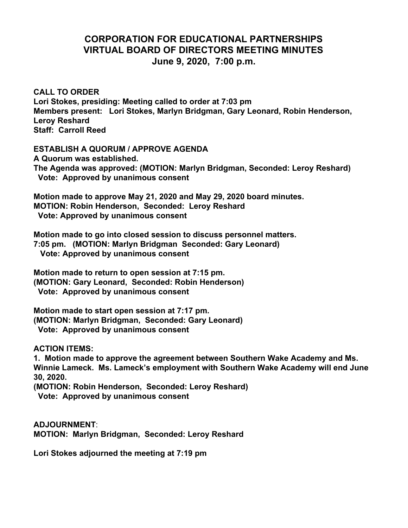## **CORPORATION FOR EDUCATIONAL PARTNERSHIPS VIRTUAL BOARD OF DIRECTORS MEETING MINUTES June 9, 2020, 7:00 p.m.**

**CALL TO ORDER Lori Stokes, presiding: Meeting called to order at 7:03 pm Members present: Lori Stokes, Marlyn Bridgman, Gary Leonard, Robin Henderson, Leroy Reshard Staff: Carroll Reed**

**ESTABLISH A QUORUM / APPROVE AGENDA A Quorum was established. The Agenda was approved: (MOTION: Marlyn Bridgman, Seconded: Leroy Reshard)**

 **Vote: Approved by unanimous consent**

**Motion made to approve May 21, 2020 and May 29, 2020 board minutes. MOTION: Robin Henderson, Seconded: Leroy Reshard Vote: Approved by unanimous consent**

**Motion made to go into closed session to discuss personnel matters. 7:05 pm. (MOTION: Marlyn Bridgman Seconded: Gary Leonard) Vote: Approved by unanimous consent**

**Motion made to return to open session at 7:15 pm. (MOTION: Gary Leonard, Seconded: Robin Henderson) Vote: Approved by unanimous consent**

**Motion made to start open session at 7:17 pm. (MOTION: Marlyn Bridgman, Seconded: Gary Leonard) Vote: Approved by unanimous consent**

**ACTION ITEMS:**

**1. Motion made to approve the agreement between Southern Wake Academy and Ms. Winnie Lameck. Ms. Lameck's employment with Southern Wake Academy will end June 30, 2020.**

**(MOTION: Robin Henderson, Seconded: Leroy Reshard) Vote: Approved by unanimous consent**

**ADJOURNMENT**: **MOTION: Marlyn Bridgman, Seconded: Leroy Reshard**

**Lori Stokes adjourned the meeting at 7:19 pm**